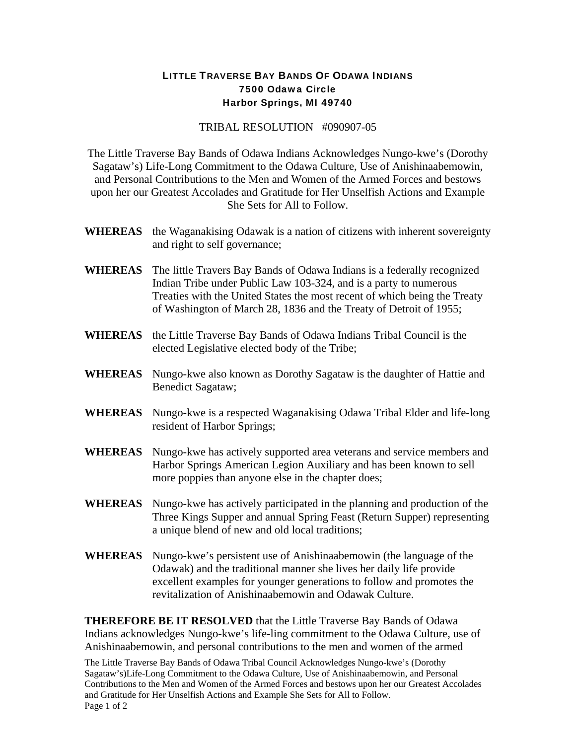## LITTLE TRAVERSE BAY BANDS OF ODAWA INDIANS 7500 Odawa Circle Harbor Springs, MI 49740

## TRIBAL RESOLUTION #090907-05

The Little Traverse Bay Bands of Odawa Indians Acknowledges Nungo-kwe's (Dorothy Sagataw's) Life-Long Commitment to the Odawa Culture, Use of Anishinaabemowin, and Personal Contributions to the Men and Women of the Armed Forces and bestows upon her our Greatest Accolades and Gratitude for Her Unselfish Actions and Example She Sets for All to Follow.

- **WHEREAS** the Waganakising Odawak is a nation of citizens with inherent sovereignty and right to self governance;
- **WHEREAS** The little Travers Bay Bands of Odawa Indians is a federally recognized Indian Tribe under Public Law 103-324, and is a party to numerous Treaties with the United States the most recent of which being the Treaty of Washington of March 28, 1836 and the Treaty of Detroit of 1955;
- **WHEREAS** the Little Traverse Bay Bands of Odawa Indians Tribal Council is the elected Legislative elected body of the Tribe;
- **WHEREAS** Nungo-kwe also known as Dorothy Sagataw is the daughter of Hattie and Benedict Sagataw;
- **WHEREAS** Nungo-kwe is a respected Waganakising Odawa Tribal Elder and life-long resident of Harbor Springs;
- **WHEREAS** Nungo-kwe has actively supported area veterans and service members and Harbor Springs American Legion Auxiliary and has been known to sell more poppies than anyone else in the chapter does;
- **WHEREAS** Nungo-kwe has actively participated in the planning and production of the Three Kings Supper and annual Spring Feast (Return Supper) representing a unique blend of new and old local traditions;
- **WHEREAS** Nungo-kwe's persistent use of Anishinaabemowin (the language of the Odawak) and the traditional manner she lives her daily life provide excellent examples for younger generations to follow and promotes the revitalization of Anishinaabemowin and Odawak Culture.

**THEREFORE BE IT RESOLVED** that the Little Traverse Bay Bands of Odawa Indians acknowledges Nungo-kwe's life-ling commitment to the Odawa Culture, use of Anishinaabemowin, and personal contributions to the men and women of the armed

The Little Traverse Bay Bands of Odawa Tribal Council Acknowledges Nungo-kwe's (Dorothy Sagataw's)Life-Long Commitment to the Odawa Culture, Use of Anishinaabemowin, and Personal Contributions to the Men and Women of the Armed Forces and bestows upon her our Greatest Accolades and Gratitude for Her Unselfish Actions and Example She Sets for All to Follow. Page 1 of 2